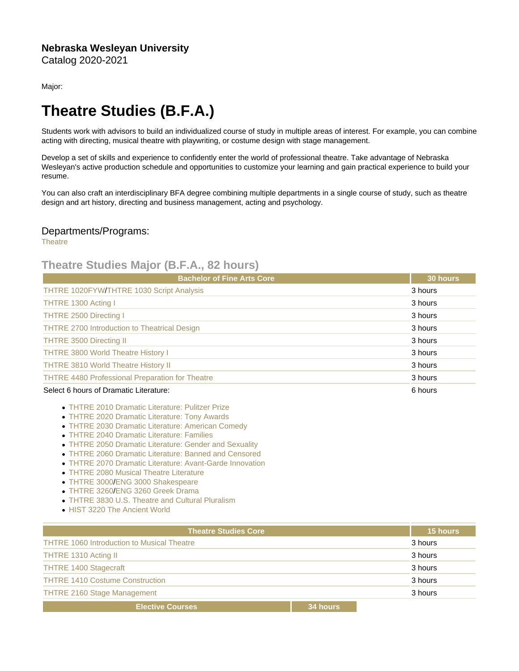Major:

## Theatre Studies (B.F.A.)

Students work with advisors to build an individualized course of study in multiple areas of interest. For example, you can combine acting with directing, musical theatre with playwriting, or costume design with stage management.

Develop a set of skills and experience to confidently enter the world of professional theatre. Take advantage of Nebraska Wesleyan's active production schedule and opportunities to customize your learning and gain practical experience to build your resume.

You can also craft an interdisciplinary BFA degree combining multiple departments in a single course of study, such as theatre design and art history, directing and business management, acting and psychology.

## Departments/Programs:

**[Theatre](https://catalog.nebrwesleyan.edu/cc/2020-2021/department/347324)** 

## Theatre Studies Major (B.F.A., 82 hours)

| <b>Bachelor of Fine Arts Core</b>                      | 30 hours |
|--------------------------------------------------------|----------|
| THTRE 1020FYW/THTRE 1030 Script Analysis               | 3 hours  |
| THTRE 1300 Acting I                                    | 3 hours  |
| <b>THTRE 2500 Directing I</b>                          | 3 hours  |
| <b>THTRE 2700 Introduction to Theatrical Design</b>    | 3 hours  |
| <b>THTRE 3500 Directing II</b>                         | 3 hours  |
| <b>THTRE 3800 World Theatre History I</b>              | 3 hours  |
| <b>THTRE 3810 World Theatre History II</b>             | 3 hours  |
| <b>THTRE 4480 Professional Preparation for Theatre</b> | 3 hours  |
| Select 6 hours of Dramatic Literature:                 | 6 hours  |

- [THTRE 2010 Dramatic Literature: Pulitzer Prize](https://catalog.nebrwesleyan.edu/cc/2021-2022/course/360631)
- [THTRE 2020 Dramatic Literature: Tony Awards](https://catalog.nebrwesleyan.edu/cc/2021-2022/course/362433)
- [THTRE 2030 Dramatic Literature: American Comedy](https://catalog.nebrwesleyan.edu/cc/2021-2022/course/362434)
- [THTRE 2040 Dramatic Literature: Families](https://catalog.nebrwesleyan.edu/cc/2021-2022/course/362435)
- [THTRE 2050 Dramatic Literature: Gender and Sexuality](https://catalog.nebrwesleyan.edu/cc/2021-2022/course/362436)
- [THTRE 2060 Dramatic Literature: Banned and Censored](https://catalog.nebrwesleyan.edu/cc/2021-2022/course/362437)
- [THTRE 2070 Dramatic Literature: Avant-Garde Innovation](https://catalog.nebrwesleyan.edu/cc/2021-2022/course/362987)
- **[THTRE 2080 Musical Theatre Literature](https://catalog.nebrwesleyan.edu/cc/2021-2022/course/363004)**
- [THTRE 3000](https://catalog.nebrwesleyan.edu/cc/2021-2022/course/360644)[/ENG 3000 Shakespeare](https://catalog.nebrwesleyan.edu/cc/2021-2022/course/360305)
- [THTRE 3260](https://catalog.nebrwesleyan.edu/cc/2021-2022/course/362568)[/ENG 3260 Greek Drama](https://catalog.nebrwesleyan.edu/cc/2021-2022/course/361756)
- [THTRE 3830 U.S. Theatre and Cultural Pluralism](https://catalog.nebrwesleyan.edu/cc/2021-2022/course/362843)
- [HIST 3220 The Ancient World](https://catalog.nebrwesleyan.edu/cc/2021-2022/course/360496)

| <b>Theatre Studies Core</b>                       |          | 15 hours |
|---------------------------------------------------|----------|----------|
| <b>THTRE 1060 Introduction to Musical Theatre</b> |          | 3 hours  |
| THTRE 1310 Acting II                              |          | 3 hours  |
| <b>THTRE 1400 Stagecraft</b>                      |          | 3 hours  |
| <b>THTRE 1410 Costume Construction</b>            |          | 3 hours  |
| <b>THTRE 2160 Stage Management</b>                |          | 3 hours  |
| <b>Elective Courses</b>                           | 34 hours |          |